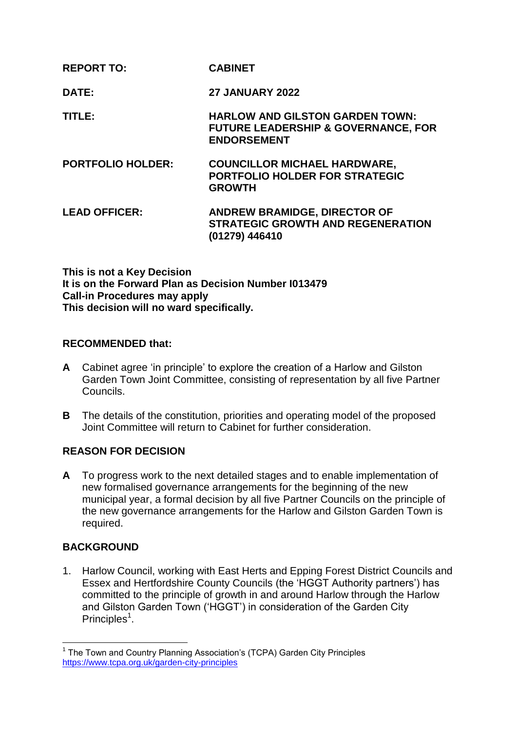| <b>REPORT TO:</b>        | <b>CABINET</b>                                                                                                 |
|--------------------------|----------------------------------------------------------------------------------------------------------------|
| DATE:                    | <b>27 JANUARY 2022</b>                                                                                         |
| TITLE:                   | <b>HARLOW AND GILSTON GARDEN TOWN:</b><br><b>FUTURE LEADERSHIP &amp; GOVERNANCE, FOR</b><br><b>ENDORSEMENT</b> |
| <b>PORTFOLIO HOLDER:</b> | <b>COUNCILLOR MICHAEL HARDWARE,</b><br><b>PORTFOLIO HOLDER FOR STRATEGIC</b><br><b>GROWTH</b>                  |
| <b>LEAD OFFICER:</b>     | <b>ANDREW BRAMIDGE, DIRECTOR OF</b><br><b>STRATEGIC GROWTH AND REGENERATION</b><br>(01279) 446410              |

**This is not a Key Decision It is on the Forward Plan as Decision Number I013479 Call-in Procedures may apply This decision will no ward specifically.**

### **RECOMMENDED that:**

- **A** Cabinet agree 'in principle' to explore the creation of a Harlow and Gilston Garden Town Joint Committee, consisting of representation by all five Partner Councils.
- **B** The details of the constitution, priorities and operating model of the proposed Joint Committee will return to Cabinet for further consideration.

## **REASON FOR DECISION**

**A** To progress work to the next detailed stages and to enable implementation of new formalised governance arrangements for the beginning of the new municipal year, a formal decision by all five Partner Councils on the principle of the new governance arrangements for the Harlow and Gilston Garden Town is required.

## **BACKGROUND**

1

1. Harlow Council, working with East Herts and Epping Forest District Councils and Essex and Hertfordshire County Councils (the 'HGGT Authority partners') has committed to the principle of growth in and around Harlow through the Harlow and Gilston Garden Town ('HGGT') in consideration of the Garden City Principles<sup>1</sup>.

<sup>&</sup>lt;sup>1</sup> The Town and Country Planning Association's (TCPA) Garden City Principles <https://www.tcpa.org.uk/garden-city-principles>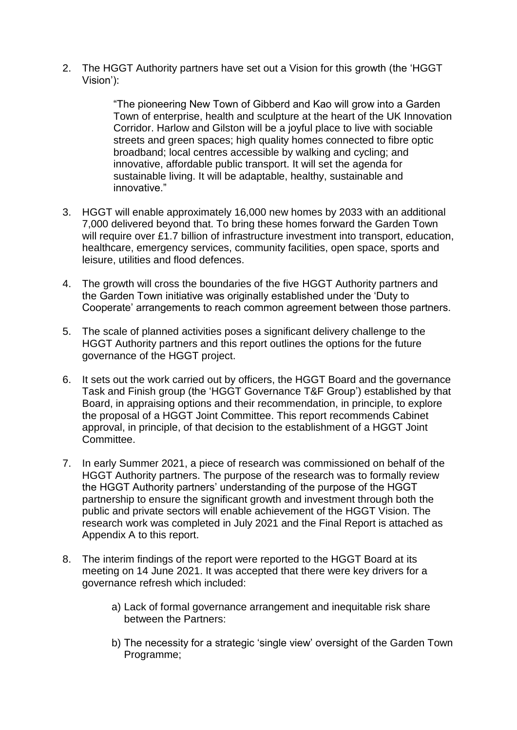2. The HGGT Authority partners have set out a Vision for this growth (the 'HGGT Vision'):

> "The pioneering New Town of Gibberd and Kao will grow into a Garden Town of enterprise, health and sculpture at the heart of the UK Innovation Corridor. Harlow and Gilston will be a joyful place to live with sociable streets and green spaces; high quality homes connected to fibre optic broadband; local centres accessible by walking and cycling; and innovative, affordable public transport. It will set the agenda for sustainable living. It will be adaptable, healthy, sustainable and innovative."

- 3. HGGT will enable approximately 16,000 new homes by 2033 with an additional 7,000 delivered beyond that. To bring these homes forward the Garden Town will require over £1.7 billion of infrastructure investment into transport, education, healthcare, emergency services, community facilities, open space, sports and leisure, utilities and flood defences.
- 4. The growth will cross the boundaries of the five HGGT Authority partners and the Garden Town initiative was originally established under the 'Duty to Cooperate' arrangements to reach common agreement between those partners.
- 5. The scale of planned activities poses a significant delivery challenge to the HGGT Authority partners and this report outlines the options for the future governance of the HGGT project.
- 6. It sets out the work carried out by officers, the HGGT Board and the governance Task and Finish group (the 'HGGT Governance T&F Group') established by that Board, in appraising options and their recommendation, in principle, to explore the proposal of a HGGT Joint Committee. This report recommends Cabinet approval, in principle, of that decision to the establishment of a HGGT Joint Committee.
- 7. In early Summer 2021, a piece of research was commissioned on behalf of the HGGT Authority partners. The purpose of the research was to formally review the HGGT Authority partners' understanding of the purpose of the HGGT partnership to ensure the significant growth and investment through both the public and private sectors will enable achievement of the HGGT Vision. The research work was completed in July 2021 and the Final Report is attached as Appendix A to this report.
- 8. The interim findings of the report were reported to the HGGT Board at its meeting on 14 June 2021. It was accepted that there were key drivers for a governance refresh which included:
	- a) Lack of formal governance arrangement and inequitable risk share between the Partners:
	- b) The necessity for a strategic 'single view' oversight of the Garden Town Programme;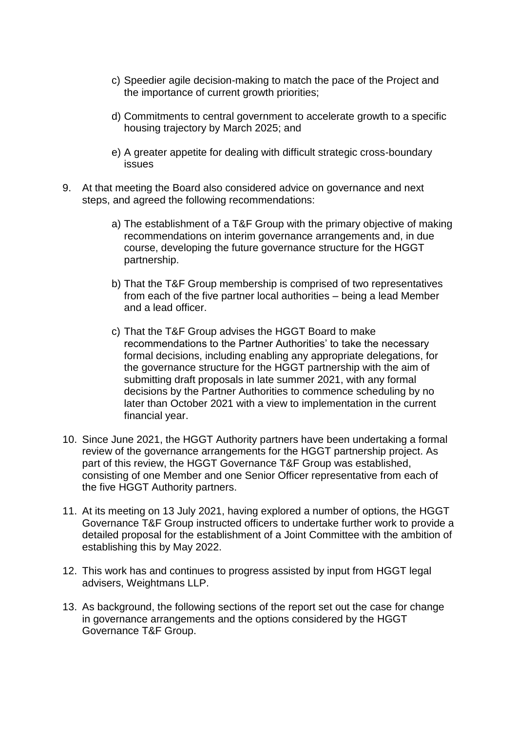- c) Speedier agile decision-making to match the pace of the Project and the importance of current growth priorities;
- d) Commitments to central government to accelerate growth to a specific housing trajectory by March 2025; and
- e) A greater appetite for dealing with difficult strategic cross-boundary issues
- 9. At that meeting the Board also considered advice on governance and next steps, and agreed the following recommendations:
	- a) The establishment of a T&F Group with the primary objective of making recommendations on interim governance arrangements and, in due course, developing the future governance structure for the HGGT partnership.
	- b) That the T&F Group membership is comprised of two representatives from each of the five partner local authorities – being a lead Member and a lead officer.
	- c) That the T&F Group advises the HGGT Board to make recommendations to the Partner Authorities' to take the necessary formal decisions, including enabling any appropriate delegations, for the governance structure for the HGGT partnership with the aim of submitting draft proposals in late summer 2021, with any formal decisions by the Partner Authorities to commence scheduling by no later than October 2021 with a view to implementation in the current financial year.
- 10. Since June 2021, the HGGT Authority partners have been undertaking a formal review of the governance arrangements for the HGGT partnership project. As part of this review, the HGGT Governance T&F Group was established, consisting of one Member and one Senior Officer representative from each of the five HGGT Authority partners.
- 11. At its meeting on 13 July 2021, having explored a number of options, the HGGT Governance T&F Group instructed officers to undertake further work to provide a detailed proposal for the establishment of a Joint Committee with the ambition of establishing this by May 2022.
- 12. This work has and continues to progress assisted by input from HGGT legal advisers, Weightmans LLP.
- 13. As background, the following sections of the report set out the case for change in governance arrangements and the options considered by the HGGT Governance T&F Group.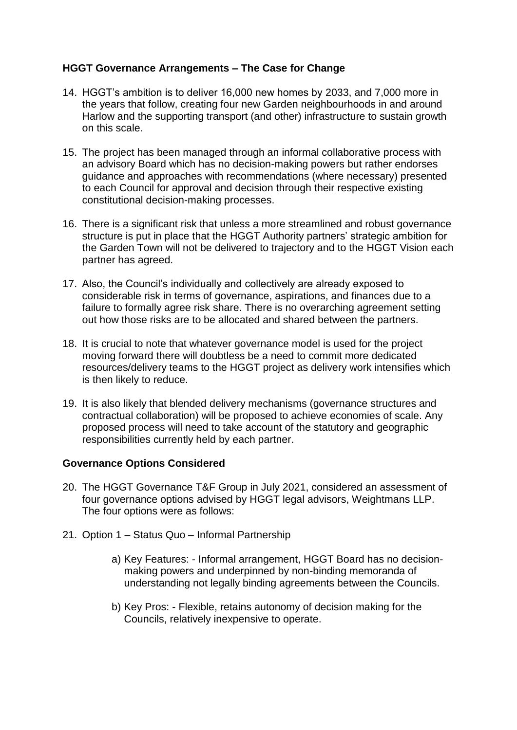### **HGGT Governance Arrangements – The Case for Change**

- 14. HGGT's ambition is to deliver 16,000 new homes by 2033, and 7,000 more in the years that follow, creating four new Garden neighbourhoods in and around Harlow and the supporting transport (and other) infrastructure to sustain growth on this scale.
- 15. The project has been managed through an informal collaborative process with an advisory Board which has no decision-making powers but rather endorses guidance and approaches with recommendations (where necessary) presented to each Council for approval and decision through their respective existing constitutional decision-making processes.
- 16. There is a significant risk that unless a more streamlined and robust governance structure is put in place that the HGGT Authority partners' strategic ambition for the Garden Town will not be delivered to trajectory and to the HGGT Vision each partner has agreed.
- 17. Also, the Council's individually and collectively are already exposed to considerable risk in terms of governance, aspirations, and finances due to a failure to formally agree risk share. There is no overarching agreement setting out how those risks are to be allocated and shared between the partners.
- 18. It is crucial to note that whatever governance model is used for the project moving forward there will doubtless be a need to commit more dedicated resources/delivery teams to the HGGT project as delivery work intensifies which is then likely to reduce.
- 19. It is also likely that blended delivery mechanisms (governance structures and contractual collaboration) will be proposed to achieve economies of scale. Any proposed process will need to take account of the statutory and geographic responsibilities currently held by each partner.

### **Governance Options Considered**

- 20. The HGGT Governance T&F Group in July 2021, considered an assessment of four governance options advised by HGGT legal advisors, Weightmans LLP. The four options were as follows:
- 21. Option 1 Status Quo Informal Partnership
	- a) Key Features: Informal arrangement, HGGT Board has no decisionmaking powers and underpinned by non-binding memoranda of understanding not legally binding agreements between the Councils.
	- b) Key Pros: Flexible, retains autonomy of decision making for the Councils, relatively inexpensive to operate.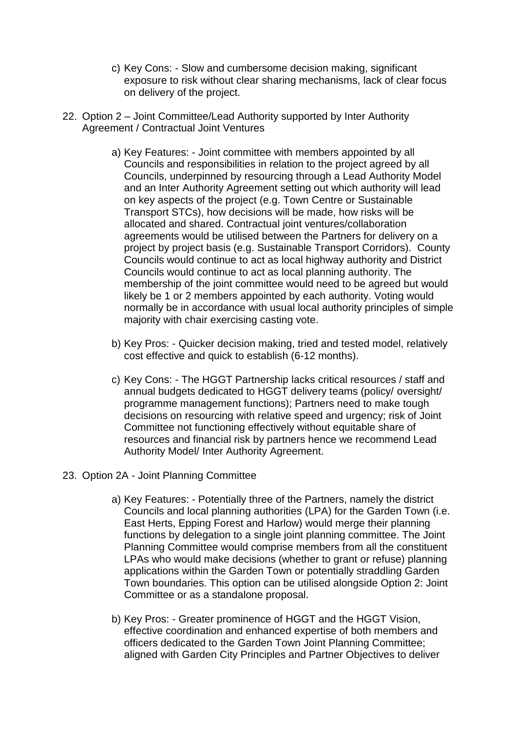- c) Key Cons: Slow and cumbersome decision making, significant exposure to risk without clear sharing mechanisms, lack of clear focus on delivery of the project.
- 22. Option 2 Joint Committee/Lead Authority supported by Inter Authority Agreement / Contractual Joint Ventures
	- a) Key Features: Joint committee with members appointed by all Councils and responsibilities in relation to the project agreed by all Councils, underpinned by resourcing through a Lead Authority Model and an Inter Authority Agreement setting out which authority will lead on key aspects of the project (e.g. Town Centre or Sustainable Transport STCs), how decisions will be made, how risks will be allocated and shared. Contractual joint ventures/collaboration agreements would be utilised between the Partners for delivery on a project by project basis (e.g. Sustainable Transport Corridors). County Councils would continue to act as local highway authority and District Councils would continue to act as local planning authority. The membership of the joint committee would need to be agreed but would likely be 1 or 2 members appointed by each authority. Voting would normally be in accordance with usual local authority principles of simple majority with chair exercising casting vote.
	- b) Key Pros: Quicker decision making, tried and tested model, relatively cost effective and quick to establish (6-12 months).
	- c) Key Cons: The HGGT Partnership lacks critical resources / staff and annual budgets dedicated to HGGT delivery teams (policy/ oversight/ programme management functions); Partners need to make tough decisions on resourcing with relative speed and urgency; risk of Joint Committee not functioning effectively without equitable share of resources and financial risk by partners hence we recommend Lead Authority Model/ Inter Authority Agreement.
- 23. Option 2A Joint Planning Committee
	- a) Key Features: Potentially three of the Partners, namely the district Councils and local planning authorities (LPA) for the Garden Town (i.e. East Herts, Epping Forest and Harlow) would merge their planning functions by delegation to a single joint planning committee. The Joint Planning Committee would comprise members from all the constituent LPAs who would make decisions (whether to grant or refuse) planning applications within the Garden Town or potentially straddling Garden Town boundaries. This option can be utilised alongside Option 2: Joint Committee or as a standalone proposal.
	- b) Key Pros: Greater prominence of HGGT and the HGGT Vision, effective coordination and enhanced expertise of both members and officers dedicated to the Garden Town Joint Planning Committee; aligned with Garden City Principles and Partner Objectives to deliver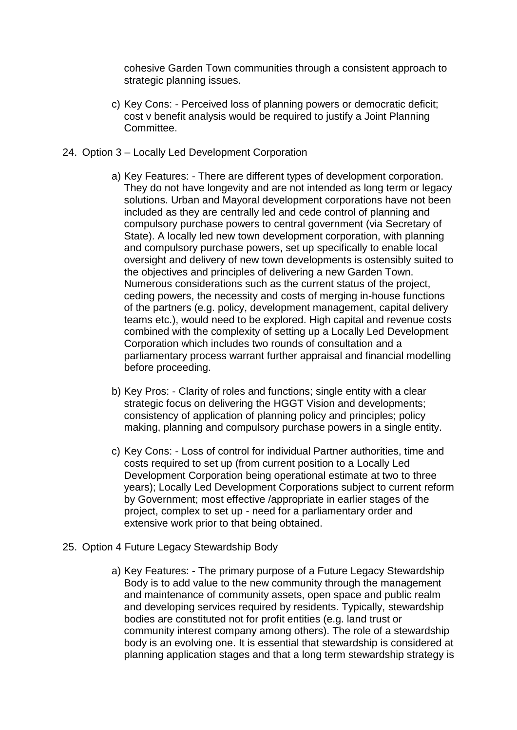cohesive Garden Town communities through a consistent approach to strategic planning issues.

- c) Key Cons: Perceived loss of planning powers or democratic deficit; cost v benefit analysis would be required to justify a Joint Planning Committee.
- 24. Option 3 Locally Led Development Corporation
	- a) Key Features: There are different types of development corporation. They do not have longevity and are not intended as long term or legacy solutions. Urban and Mayoral development corporations have not been included as they are centrally led and cede control of planning and compulsory purchase powers to central government (via Secretary of State). A locally led new town development corporation, with planning and compulsory purchase powers, set up specifically to enable local oversight and delivery of new town developments is ostensibly suited to the objectives and principles of delivering a new Garden Town. Numerous considerations such as the current status of the project, ceding powers, the necessity and costs of merging in-house functions of the partners (e.g. policy, development management, capital delivery teams etc.), would need to be explored. High capital and revenue costs combined with the complexity of setting up a Locally Led Development Corporation which includes two rounds of consultation and a parliamentary process warrant further appraisal and financial modelling before proceeding.
	- b) Key Pros: Clarity of roles and functions; single entity with a clear strategic focus on delivering the HGGT Vision and developments: consistency of application of planning policy and principles; policy making, planning and compulsory purchase powers in a single entity.
	- c) Key Cons: Loss of control for individual Partner authorities, time and costs required to set up (from current position to a Locally Led Development Corporation being operational estimate at two to three years); Locally Led Development Corporations subject to current reform by Government; most effective /appropriate in earlier stages of the project, complex to set up - need for a parliamentary order and extensive work prior to that being obtained.
- 25. Option 4 Future Legacy Stewardship Body
	- a) Key Features: The primary purpose of a Future Legacy Stewardship Body is to add value to the new community through the management and maintenance of community assets, open space and public realm and developing services required by residents. Typically, stewardship bodies are constituted not for profit entities (e.g. land trust or community interest company among others). The role of a stewardship body is an evolving one. It is essential that stewardship is considered at planning application stages and that a long term stewardship strategy is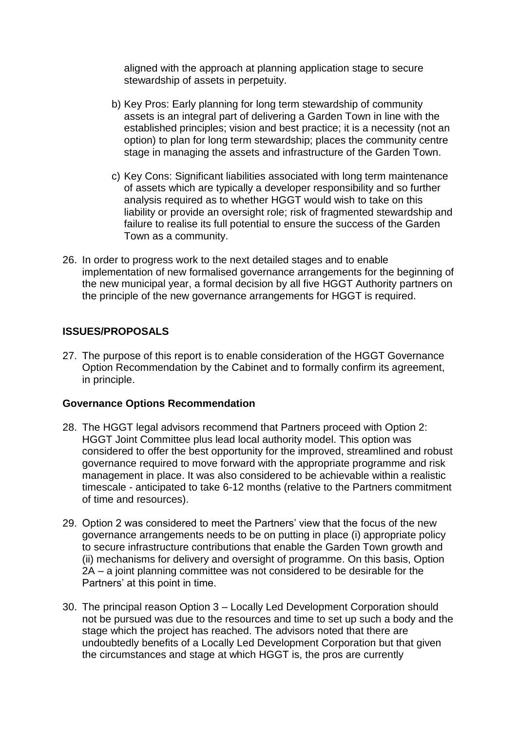aligned with the approach at planning application stage to secure stewardship of assets in perpetuity.

- b) Key Pros: Early planning for long term stewardship of community assets is an integral part of delivering a Garden Town in line with the established principles; vision and best practice; it is a necessity (not an option) to plan for long term stewardship; places the community centre stage in managing the assets and infrastructure of the Garden Town.
- c) Key Cons: Significant liabilities associated with long term maintenance of assets which are typically a developer responsibility and so further analysis required as to whether HGGT would wish to take on this liability or provide an oversight role; risk of fragmented stewardship and failure to realise its full potential to ensure the success of the Garden Town as a community.
- 26. In order to progress work to the next detailed stages and to enable implementation of new formalised governance arrangements for the beginning of the new municipal year, a formal decision by all five HGGT Authority partners on the principle of the new governance arrangements for HGGT is required.

### **ISSUES/PROPOSALS**

27. The purpose of this report is to enable consideration of the HGGT Governance Option Recommendation by the Cabinet and to formally confirm its agreement, in principle.

### **Governance Options Recommendation**

- 28. The HGGT legal advisors recommend that Partners proceed with Option 2: HGGT Joint Committee plus lead local authority model. This option was considered to offer the best opportunity for the improved, streamlined and robust governance required to move forward with the appropriate programme and risk management in place. It was also considered to be achievable within a realistic timescale - anticipated to take 6-12 months (relative to the Partners commitment of time and resources).
- 29. Option 2 was considered to meet the Partners' view that the focus of the new governance arrangements needs to be on putting in place (i) appropriate policy to secure infrastructure contributions that enable the Garden Town growth and (ii) mechanisms for delivery and oversight of programme. On this basis, Option 2A – a joint planning committee was not considered to be desirable for the Partners' at this point in time.
- 30. The principal reason Option 3 Locally Led Development Corporation should not be pursued was due to the resources and time to set up such a body and the stage which the project has reached. The advisors noted that there are undoubtedly benefits of a Locally Led Development Corporation but that given the circumstances and stage at which HGGT is, the pros are currently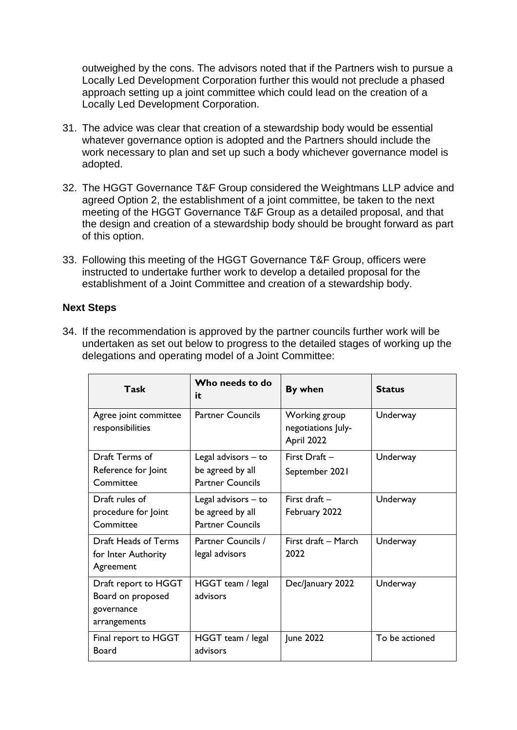outweighed by the cons. The advisors noted that if the Partners wish to pursue a Locally Led Development Corporation further this would not preclude a phased approach setting up a joint committee which could lead on the creation of a Locally Led Development Corporation.

- 31. The advice was clear that creation of a stewardship body would be essential whatever governance option is adopted and the Partners should include the work necessary to plan and set up such a body whichever governance model is adopted.
- 32. The HGGT Governance T&F Group considered the Weightmans LLP advice and agreed Option 2, the establishment of a joint committee, be taken to the next meeting of the HGGT Governance T&F Group as a detailed proposal, and that the design and creation of a stewardship body should be brought forward as part of this option.
- 33. Following this meeting of the HGGT Governance T&F Group, officers were instructed to undertake further work to develop a detailed proposal for the establishment of a Joint Committee and creation of a stewardship body.

### **Next Steps**

34. If the recommendation is approved by the partner councils further work will be undertaken as set out below to progress to the detailed stages of working up the delegations and operating model of a Joint Committee:

| Task                                                                    | Who needs to do<br>it                                              | By when                                           | <b>Status</b>  |
|-------------------------------------------------------------------------|--------------------------------------------------------------------|---------------------------------------------------|----------------|
| Agree joint committee<br>responsibilities                               | <b>Partner Councils</b>                                            | Working group<br>negotiations July-<br>April 2022 | Underway       |
| Draft Terms of<br>Reference for Joint<br>Committee                      | Legal advisors - to<br>be agreed by all<br><b>Partner Councils</b> | First Draft -<br>September 2021                   | Underway       |
| Draft rules of<br>procedure for Joint<br>Committee                      | Legal advisors - to<br>be agreed by all<br><b>Partner Councils</b> | First draft -<br>February 2022                    | Underway       |
| Draft Heads of Terms<br>for Inter Authority<br>Agreement                | Partner Councils /<br>legal advisors                               | First draft - March<br>2022                       | Underway       |
| Draft report to HGGT<br>Board on proposed<br>governance<br>arrangements | HGGT team / legal<br>advisors                                      | Dec/January 2022                                  | Underway       |
| Final report to HGGT<br>Board                                           | HGGT team / legal<br>advisors                                      | June 2022                                         | To be actioned |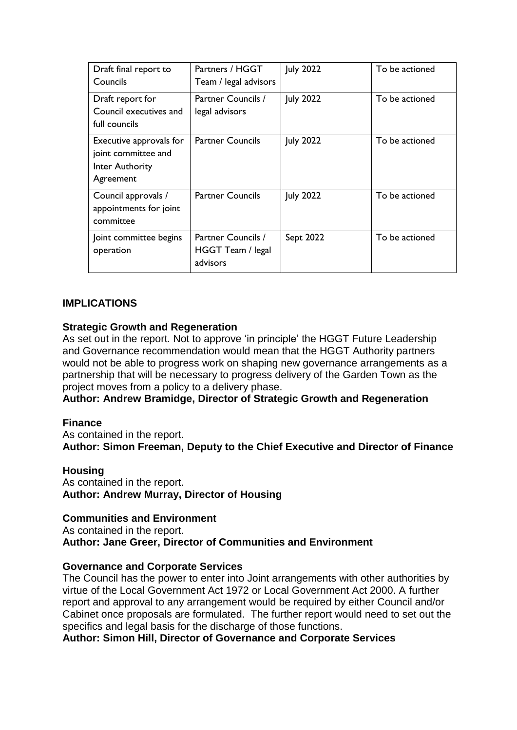| Draft final report to<br>Councils                                              | Partners / HGGT<br>Team / legal advisors            | <b>July 2022</b> | To be actioned |
|--------------------------------------------------------------------------------|-----------------------------------------------------|------------------|----------------|
| Draft report for<br>Council executives and<br>full councils                    | Partner Councils /<br>legal advisors                | <b>July 2022</b> | To be actioned |
| Executive approvals for<br>joint committee and<br>Inter Authority<br>Agreement | <b>Partner Councils</b>                             | <b>July 2022</b> | To be actioned |
| Council approvals /<br>appointments for joint<br>committee                     | <b>Partner Councils</b>                             | <b>July 2022</b> | To be actioned |
| Joint committee begins<br>operation                                            | Partner Councils /<br>HGGT Team / legal<br>advisors | Sept 2022        | To be actioned |

### **IMPLICATIONS**

### **Strategic Growth and Regeneration**

As set out in the report. Not to approve 'in principle' the HGGT Future Leadership and Governance recommendation would mean that the HGGT Authority partners would not be able to progress work on shaping new governance arrangements as a partnership that will be necessary to progress delivery of the Garden Town as the project moves from a policy to a delivery phase.

**Author: Andrew Bramidge, Director of Strategic Growth and Regeneration** 

### **Finance**

As contained in the report. **Author: Simon Freeman, Deputy to the Chief Executive and Director of Finance**

### **Housing**

As contained in the report. **Author: Andrew Murray, Director of Housing**

### **Communities and Environment**

As contained in the report. **Author: Jane Greer, Director of Communities and Environment**

### **Governance and Corporate Services**

The Council has the power to enter into Joint arrangements with other authorities by virtue of the Local Government Act 1972 or Local Government Act 2000. A further report and approval to any arrangement would be required by either Council and/or Cabinet once proposals are formulated. The further report would need to set out the specifics and legal basis for the discharge of those functions.

**Author: Simon Hill, Director of Governance and Corporate Services**